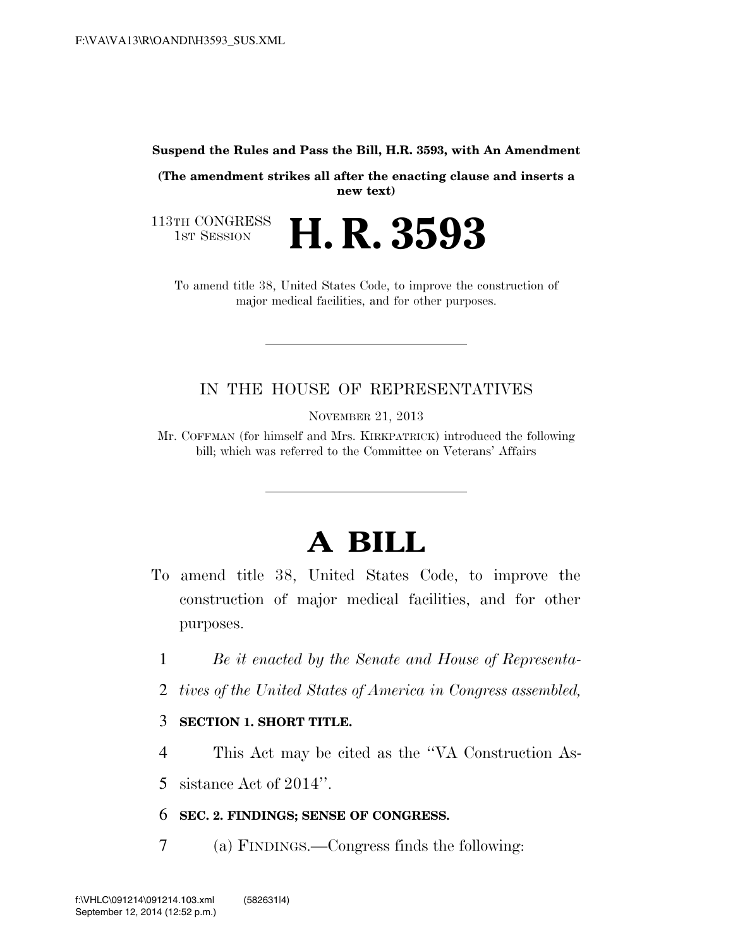**Suspend the Rules and Pass the Bill, H.R. 3593, with An Amendment** 

**(The amendment strikes all after the enacting clause and inserts a new text)** 

113TH CONGRESS<br>1st Session H. R. 3593

To amend title 38, United States Code, to improve the construction of major medical facilities, and for other purposes.

## IN THE HOUSE OF REPRESENTATIVES

NOVEMBER 21, 2013

Mr. COFFMAN (for himself and Mrs. KIRKPATRICK) introduced the following bill; which was referred to the Committee on Veterans' Affairs

# **A BILL**

- To amend title 38, United States Code, to improve the construction of major medical facilities, and for other purposes.
	- 1 *Be it enacted by the Senate and House of Representa-*
	- 2 *tives of the United States of America in Congress assembled,*

### 3 **SECTION 1. SHORT TITLE.**

4 This Act may be cited as the ''VA Construction As-

5 sistance Act of 2014''.

#### 6 **SEC. 2. FINDINGS; SENSE OF CONGRESS.**

7 (a) FINDINGS.—Congress finds the following: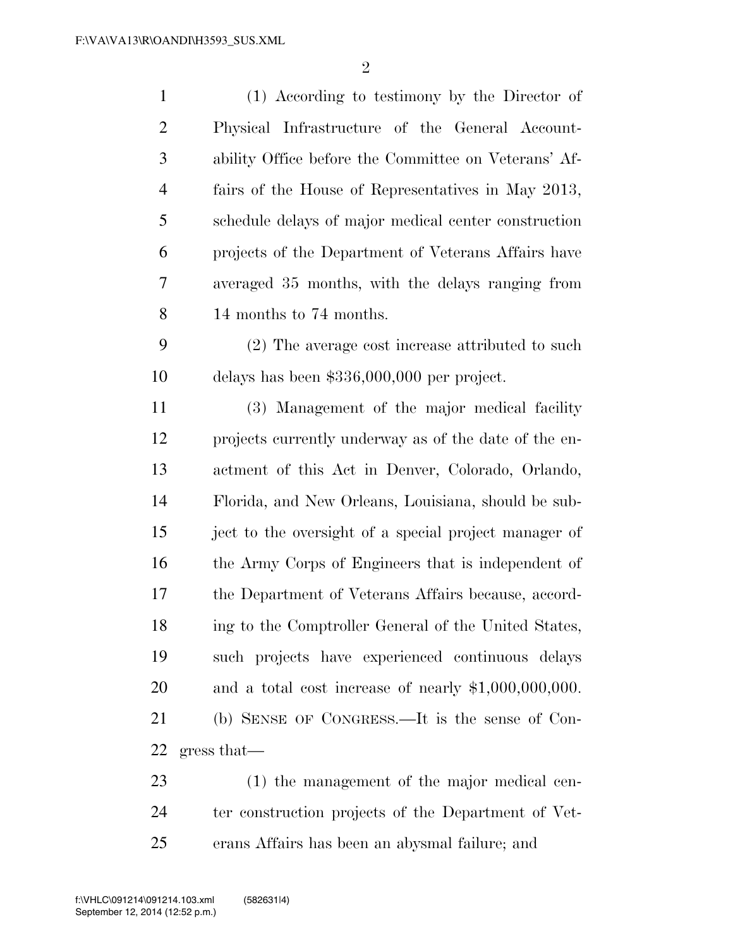| $\mathbf{1}$   | (1) According to testimony by the Director of          |
|----------------|--------------------------------------------------------|
| $\overline{2}$ | Physical Infrastructure of the General Account-        |
| 3              | ability Office before the Committee on Veterans' Af-   |
| $\overline{4}$ | fairs of the House of Representatives in May 2013,     |
| 5              | schedule delays of major medical center construction   |
| 6              | projects of the Department of Veterans Affairs have    |
| 7              | averaged 35 months, with the delays ranging from       |
| $8\,$          | 14 months to 74 months.                                |
| 9              | (2) The average cost increase attributed to such       |
| 10             | delays has been $$336,000,000$ per project.            |
| 11             | (3) Management of the major medical facility           |
| 12             | projects currently underway as of the date of the en-  |
| 13             | actment of this Act in Denver, Colorado, Orlando,      |
| 14             | Florida, and New Orleans, Louisiana, should be sub-    |
| 15             | ject to the oversight of a special project manager of  |
| 16             | the Army Corps of Engineers that is independent of     |
| 17             | the Department of Veterans Affairs because, accord-    |
| 18             | ing to the Comptroller General of the United States,   |
| 19             | such projects have experienced continuous delays       |
| 20             | and a total cost increase of nearly $$1,000,000,000$ . |
| 21             | (b) SENSE OF CONGRESS.—It is the sense of Con-         |
| 22             | gress that                                             |
| 23             | (1) the management of the major medical cen-           |
|                |                                                        |

 ter construction projects of the Department of Vet-erans Affairs has been an abysmal failure; and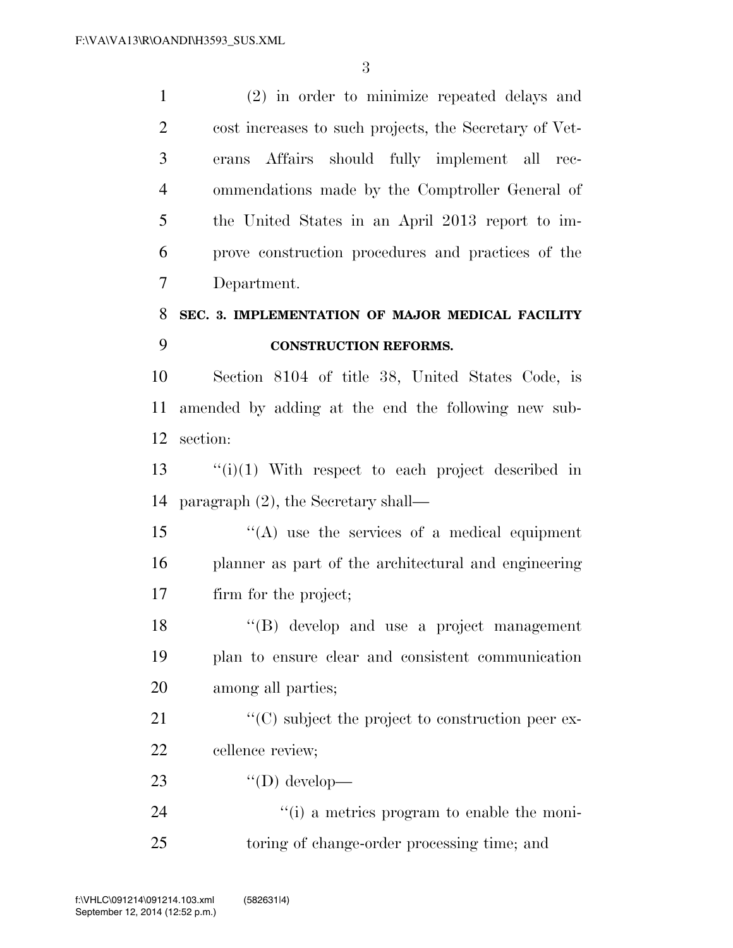(2) in order to minimize repeated delays and cost increases to such projects, the Secretary of Vet- erans Affairs should fully implement all rec- ommendations made by the Comptroller General of the United States in an April 2013 report to im- prove construction procedures and practices of the Department.

# **SEC. 3. IMPLEMENTATION OF MAJOR MEDICAL FACILITY CONSTRUCTION REFORMS.**

 Section 8104 of title 38, United States Code, is amended by adding at the end the following new sub-section:

 ''(i)(1) With respect to each project described in paragraph (2), the Secretary shall—

 ''(A) use the services of a medical equipment planner as part of the architectural and engineering firm for the project;

 ''(B) develop and use a project management plan to ensure clear and consistent communication among all parties;

21  $\langle ^{\prime}(C) \rangle$  subject the project to construction peer ex-cellence review;

- 23  $"({\rm D})$  develop—
- 24  $\frac{1}{10}$  a metrics program to enable the moni-toring of change-order processing time; and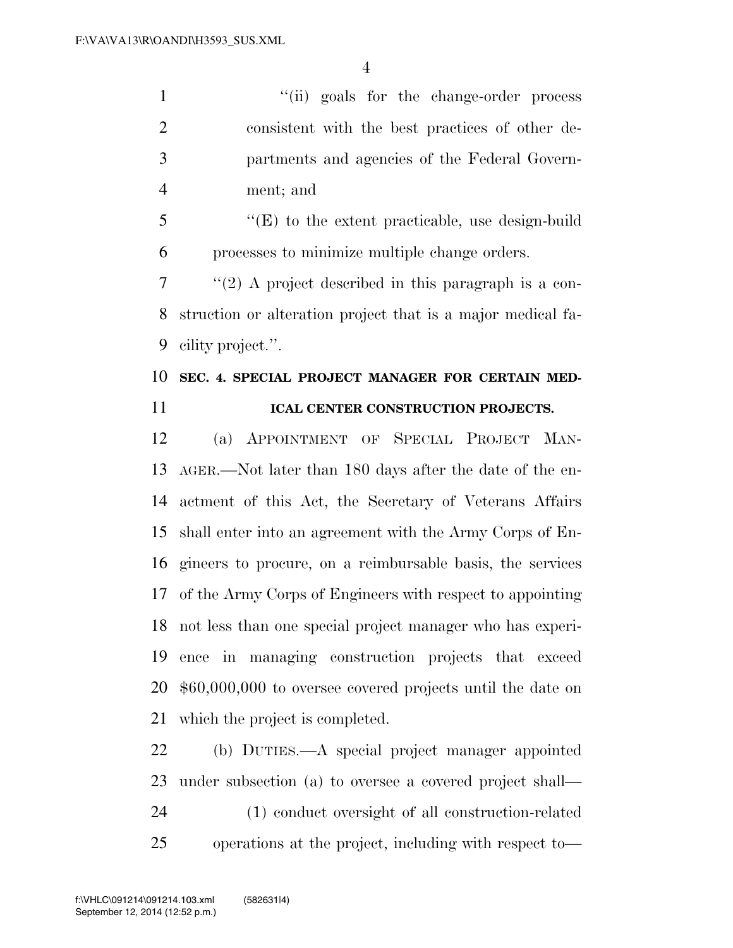1 ''(ii) goals for the change-order process consistent with the best practices of other de- partments and agencies of the Federal Govern-ment; and

 ''(E) to the extent practicable, use design-build processes to minimize multiple change orders.

 $7 \cdot \text{``(2)}$  A project described in this paragraph is a con- struction or alteration project that is a major medical fa-cility project.''.

# **SEC. 4. SPECIAL PROJECT MANAGER FOR CERTAIN MED-ICAL CENTER CONSTRUCTION PROJECTS.**

 (a) APPOINTMENT OF SPECIAL PROJECT MAN- AGER.—Not later than 180 days after the date of the en- actment of this Act, the Secretary of Veterans Affairs shall enter into an agreement with the Army Corps of En- gineers to procure, on a reimbursable basis, the services of the Army Corps of Engineers with respect to appointing not less than one special project manager who has experi- ence in managing construction projects that exceed \$60,000,000 to oversee covered projects until the date on which the project is completed.

 (b) DUTIES.—A special project manager appointed under subsection (a) to oversee a covered project shall— (1) conduct oversight of all construction-related operations at the project, including with respect to—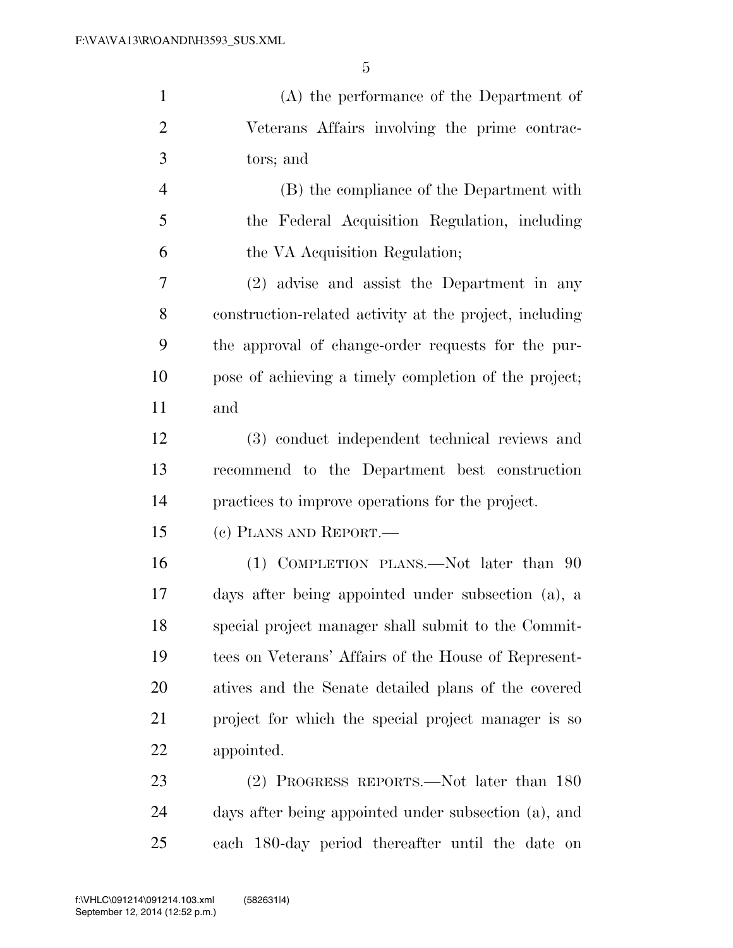| $\mathbf{1}$   | (A) the performance of the Department of                |
|----------------|---------------------------------------------------------|
| $\overline{2}$ | Veterans Affairs involving the prime contrac-           |
| 3              | tors; and                                               |
| $\overline{4}$ | (B) the compliance of the Department with               |
| 5              | the Federal Acquisition Regulation, including           |
| 6              | the VA Acquisition Regulation;                          |
| $\tau$         | (2) advise and assist the Department in any             |
| 8              | construction-related activity at the project, including |
| 9              | the approval of change-order requests for the pur-      |
| 10             | pose of achieving a timely completion of the project;   |
| 11             | and                                                     |
| 12             | (3) conduct independent technical reviews and           |
| 13             | recommend to the Department best construction           |
| 14             | practices to improve operations for the project.        |
| 15             | (c) PLANS AND REPORT.—                                  |
| 16             | (1) COMPLETION PLANS.—Not later than 90                 |
| 17             | days after being appointed under subsection (a), a      |
| 18             | special project manager shall submit to the Commit-     |
| 19             | tees on Veterans' Affairs of the House of Represent-    |
| 20             | atives and the Senate detailed plans of the covered     |
| 21             | project for which the special project manager is so     |
| 22             | appointed.                                              |
| 23             | (2) PROGRESS REPORTS.—Not later than 180                |
| 24             | days after being appointed under subsection (a), and    |
| 25             | each 180-day period thereafter until the date on        |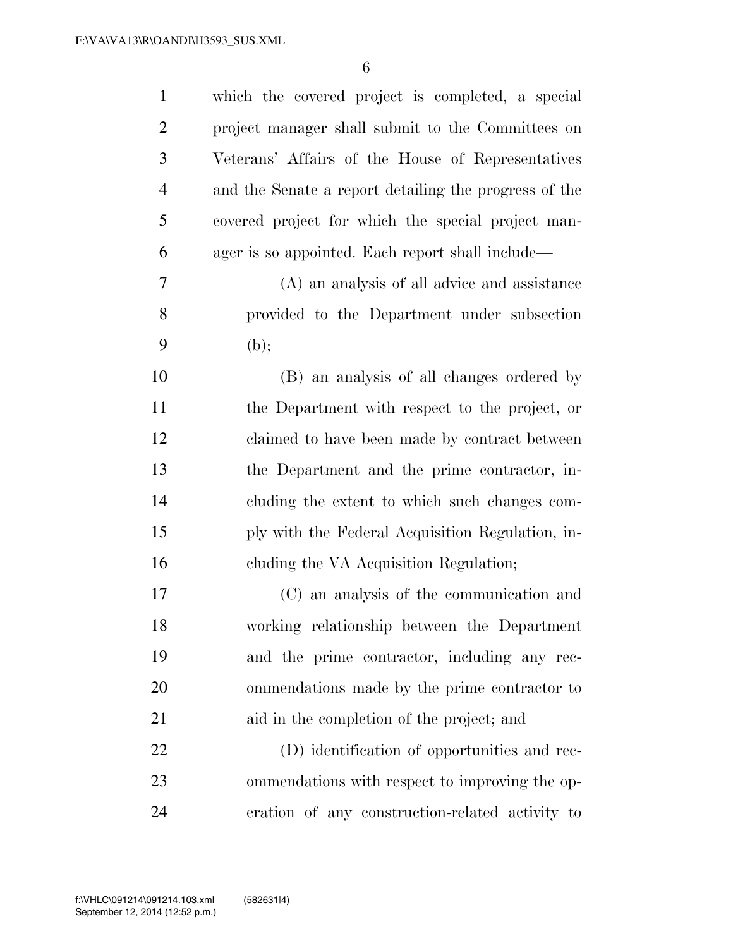| $\mathbf{1}$   | which the covered project is completed, a special     |
|----------------|-------------------------------------------------------|
| $\overline{2}$ | project manager shall submit to the Committees on     |
| 3              | Veterans' Affairs of the House of Representatives     |
| $\overline{4}$ | and the Senate a report detailing the progress of the |
| 5              | covered project for which the special project man-    |
| 6              | ager is so appointed. Each report shall include—      |
| 7              | (A) an analysis of all advice and assistance          |
| 8              | provided to the Department under subsection           |
| 9              | (b);                                                  |
| 10             | (B) an analysis of all changes ordered by             |
| 11             | the Department with respect to the project, or        |
| 12             | claimed to have been made by contract between         |
| 13             | the Department and the prime contractor, in-          |
| 14             | cluding the extent to which such changes com-         |
| 15             | ply with the Federal Acquisition Regulation, in-      |
| 16             | cluding the VA Acquisition Regulation;                |
| 17             | (C) an analysis of the communication and              |
| 18             | working relationship between the Department           |
| 19             | and the prime contractor, including any rec-          |
| 20             | ommendations made by the prime contractor to          |
| 21             | aid in the completion of the project; and             |
| 22             | (D) identification of opportunities and rec-          |
| 23             | ommendations with respect to improving the op-        |
| 24             | eration of any construction-related activity to       |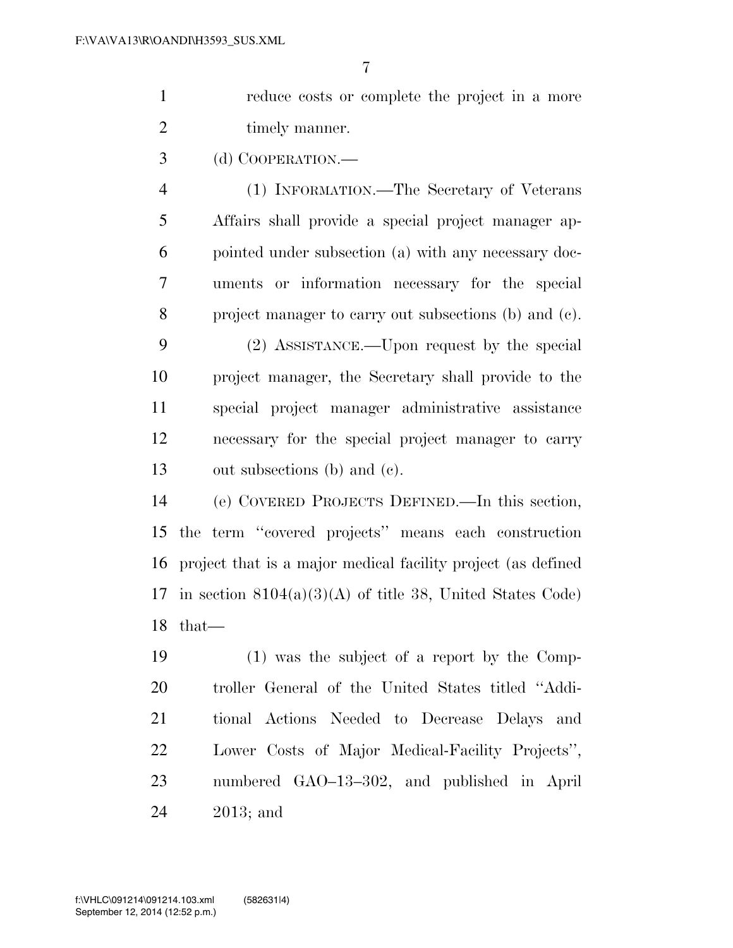reduce costs or complete the project in a more 2 timely manner.

(d) COOPERATION.—

 (1) INFORMATION.—The Secretary of Veterans Affairs shall provide a special project manager ap- pointed under subsection (a) with any necessary doc- uments or information necessary for the special project manager to carry out subsections (b) and (c).

 (2) ASSISTANCE.—Upon request by the special project manager, the Secretary shall provide to the special project manager administrative assistance necessary for the special project manager to carry out subsections (b) and (c).

 (e) COVERED PROJECTS DEFINED.—In this section, the term ''covered projects'' means each construction project that is a major medical facility project (as defined 17 in section  $8104(a)(3)(A)$  of title 38, United States Code) that—

 (1) was the subject of a report by the Comp- troller General of the United States titled ''Addi- tional Actions Needed to Decrease Delays and Lower Costs of Major Medical-Facility Projects'', numbered GAO–13–302, and published in April 2013; and